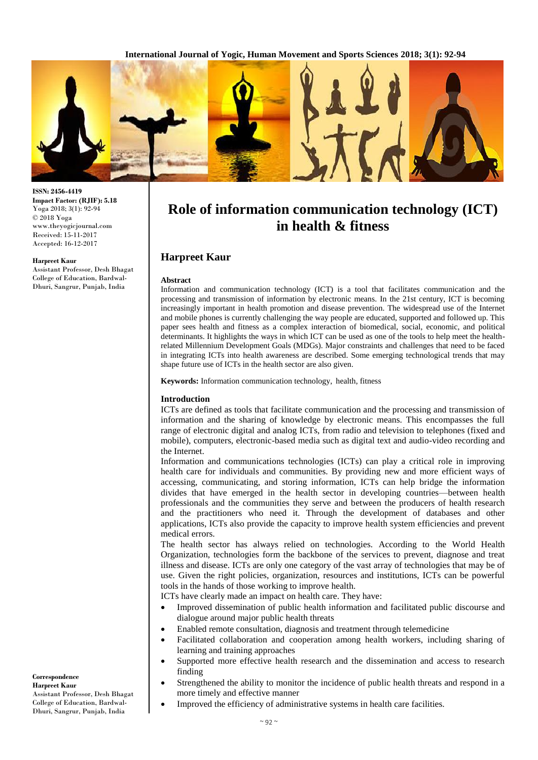

**ISSN: 2456-4419 Impact Factor: (RJIF): 5.18** Yoga 2018; 3(1): 92-94 © 2018 Yoga www.theyogicjournal.com Received: 15-11-2017 Accepted: 16-12-2017

#### **Harpreet Kaur**

Assistant Professor, Desh Bhagat College of Education, Bardwal-Dhuri, Sangrur, Punjab, India

# **Role of information communication technology (ICT) in health & fitness**

### **Harpreet Kaur**

#### **Abstract**

Information and communication technology (ICT) is a tool that facilitates communication and the processing and transmission of information by electronic means. In the 21st century, ICT is becoming increasingly important in health promotion and disease prevention. The widespread use of the Internet and mobile phones is currently challenging the way people are educated, supported and followed up. This paper sees health and fitness as a complex interaction of biomedical, social, economic, and political determinants. It highlights the ways in which ICT can be used as one of the tools to help meet the healthrelated Millennium Development Goals (MDGs). Major constraints and challenges that need to be faced in integrating ICTs into health awareness are described. Some emerging technological trends that may shape future use of ICTs in the health sector are also given.

**Keywords:** Information communication technology, health, fitness

#### **Introduction**

ICTs are defined as tools that facilitate communication and the processing and transmission of information and the sharing of knowledge by electronic means. This encompasses the full range of electronic digital and analog ICTs, from radio and television to telephones (fixed and mobile), computers, electronic-based media such as digital text and audio-video recording and the Internet.

Information and communications technologies (ICTs) can play a critical role in improving health care for individuals and communities. By providing new and more efficient ways of accessing, communicating, and storing information, ICTs can help bridge the information divides that have emerged in the health sector in developing countries—between health professionals and the communities they serve and between the producers of health research and the practitioners who need it. Through the development of databases and other applications, ICTs also provide the capacity to improve health system efficiencies and prevent medical errors.

The health sector has always relied on technologies. According to the World Health Organization, technologies form the backbone of the services to prevent, diagnose and treat illness and disease. ICTs are only one category of the vast array of technologies that may be of use. Given the right policies, organization, resources and institutions, ICTs can be powerful tools in the hands of those working to improve health.

ICTs have clearly made an impact on health care. They have:

- Improved dissemination of public health information and facilitated public discourse and dialogue around major public health threats
- Enabled remote consultation, diagnosis and treatment through telemedicine
- Facilitated collaboration and cooperation among health workers, including sharing of learning and training approaches
- Supported more effective health research and the dissemination and access to research finding
- Strengthened the ability to monitor the incidence of public health threats and respond in a more timely and effective manner
- Improved the efficiency of administrative systems in health care facilities.

Assistant Professor, Desh Bhagat College of Education, Bardwal-Dhuri, Sangrur, Punjab, India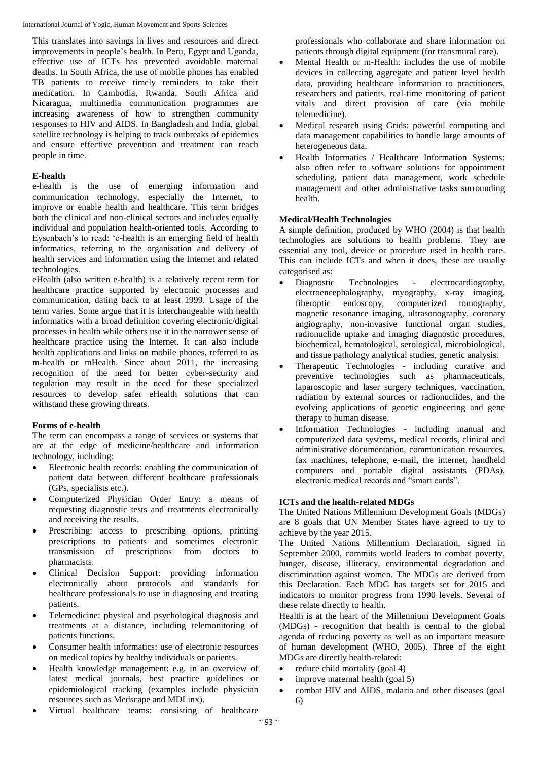This translates into savings in lives and resources and direct improvements in people's health. In Peru, Egypt and Uganda, effective use of ICTs has prevented avoidable maternal deaths. In South Africa, the use of mobile phones has enabled TB patients to receive timely reminders to take their medication. In Cambodia, Rwanda, South Africa and Nicaragua, multimedia communication programmes are increasing awareness of how to strengthen community responses to HIV and AIDS. In Bangladesh and India, global satellite technology is helping to track outbreaks of epidemics and ensure effective prevention and treatment can reach people in time.

# **E-health**

e-health is the use of emerging information and communication technology, especially the Internet, to improve or enable health and healthcare. This term bridges both the clinical and non-clinical sectors and includes equally individual and population health-oriented tools. According to Eysenbach's to read: 'e-health is an emerging field of health informatics, referring to the organisation and delivery of health services and information using the Internet and related technologies.

eHealth (also written e-health) is a relatively recent term for healthcare practice supported by electronic processes and communication, dating back to at least 1999. Usage of the term varies. Some argue that it is interchangeable with health informatics with a broad definition covering electronic/digital processes in health while others use it in the narrower sense of healthcare practice using the Internet. It can also include health applications and links on mobile phones, referred to as m-health or mHealth. Since about 2011, the increasing recognition of the need for better cyber-security and regulation may result in the need for these specialized resources to develop safer eHealth solutions that can withstand these growing threats.

# **Forms of e-health**

The term can encompass a range of services or systems that are at the edge of medicine/healthcare and information technology, including:

- Electronic health records: enabling the communication of patient data between different healthcare professionals (GPs, specialists etc.).
- Computerized Physician Order Entry: a means of requesting diagnostic tests and treatments electronically and receiving the results.
- Prescribing: access to prescribing options, printing prescriptions to patients and sometimes electronic transmission of prescriptions from doctors to pharmacists.
- Clinical Decision Support: providing information electronically about protocols and standards for healthcare professionals to use in diagnosing and treating patients.
- Telemedicine: physical and psychological diagnosis and treatments at a distance, including telemonitoring of patients functions.
- Consumer health informatics: use of electronic resources on medical topics by healthy individuals or patients.
- Health knowledge management: e.g. in an overview of latest medical journals, best practice guidelines or epidemiological tracking (examples include physician resources such as Medscape and MDLinx).
- Virtual healthcare teams: consisting of healthcare

professionals who collaborate and share information on patients through digital equipment (for transmural care).

- Mental Health or m-Health: includes the use of mobile devices in collecting aggregate and patient level health data, providing healthcare information to practitioners, researchers and patients, real-time monitoring of patient vitals and direct provision of care (via mobile telemedicine).
- Medical research using Grids: powerful computing and data management capabilities to handle large amounts of heterogeneous data.
- Health Informatics / Healthcare Information Systems: also often refer to software solutions for appointment scheduling, patient data management, work schedule management and other administrative tasks surrounding health.

# **Medical/Health Technologies**

A simple definition, produced by WHO (2004) is that health technologies are solutions to health problems. They are essential any tool, device or procedure used in health care. This can include ICTs and when it does, these are usually categorised as:

- Diagnostic Technologies electrocardiography, electroencephalography, myography, x-ray imaging, fiberoptic endoscopy, computerized tomography, magnetic resonance imaging, ultrasonography, coronary angiography, non-invasive functional organ studies, radionuclide uptake and imaging diagnostic procedures, biochemical, hematological, serological, microbiological, and tissue pathology analytical studies, genetic analysis.
- Therapeutic Technologies including curative and preventive technologies such as pharmaceuticals, laparoscopic and laser surgery techniques, vaccination, radiation by external sources or radionuclides, and the evolving applications of genetic engineering and gene therapy to human disease.
- Information Technologies including manual and computerized data systems, medical records, clinical and administrative documentation, communication resources, fax machines, telephone, e-mail, the internet, handheld computers and portable digital assistants (PDAs), electronic medical records and "smart cards".

# **ICTs and the health-related MDGs**

The United Nations Millennium Development Goals (MDGs) are 8 goals that UN Member States have agreed to try to achieve by the year 2015.

The United Nations Millennium Declaration, signed in September 2000, commits world leaders to combat poverty, hunger, disease, illiteracy, environmental degradation and discrimination against women. The MDGs are derived from this Declaration. Each MDG has targets set for 2015 and indicators to monitor progress from 1990 levels. Several of these relate directly to health.

Health is at the heart of the Millennium Development Goals (MDGs) - recognition that health is central to the global agenda of reducing poverty as well as an important measure of human development (WHO, 2005). Three of the eight MDGs are directly health-related:

- reduce child mortality (goal 4)
- $\bullet$  improve maternal health (goal 5)
- combat HIV and AIDS, malaria and other diseases (goal 6)